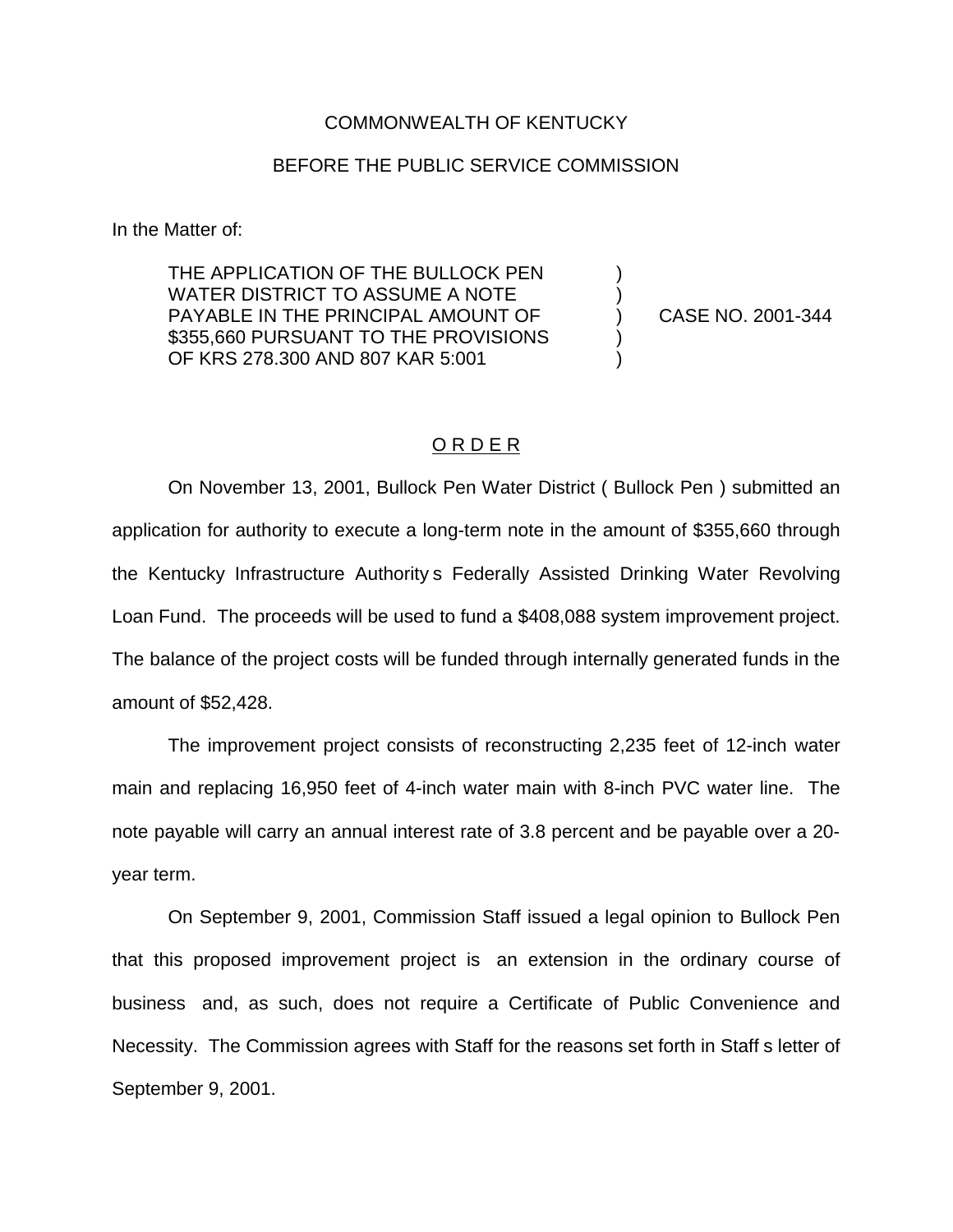## COMMONWEALTH OF KENTUCKY

## BEFORE THE PUBLIC SERVICE COMMISSION

In the Matter of:

THE APPLICATION OF THE BULLOCK PEN WATER DISTRICT TO ASSUME A NOTE PAYABLE IN THE PRINCIPAL AMOUNT OF (2001-344) \$355,660 PURSUANT TO THE PROVISIONS OF KRS 278.300 AND 807 KAR 5:001 )

## O R D E R

On November 13, 2001, Bullock Pen Water District ( Bullock Pen ) submitted an application for authority to execute a long-term note in the amount of \$355,660 through the Kentucky Infrastructure Authority s Federally Assisted Drinking Water Revolving Loan Fund. The proceeds will be used to fund a \$408,088 system improvement project. The balance of the project costs will be funded through internally generated funds in the amount of \$52,428.

The improvement project consists of reconstructing 2,235 feet of 12-inch water main and replacing 16,950 feet of 4-inch water main with 8-inch PVC water line. The note payable will carry an annual interest rate of 3.8 percent and be payable over a 20 year term.

On September 9, 2001, Commission Staff issued a legal opinion to Bullock Pen that this proposed improvement project is an extension in the ordinary course of business and, as such, does not require a Certificate of Public Convenience and Necessity. The Commission agrees with Staff for the reasons set forth in Staff s letter of September 9, 2001.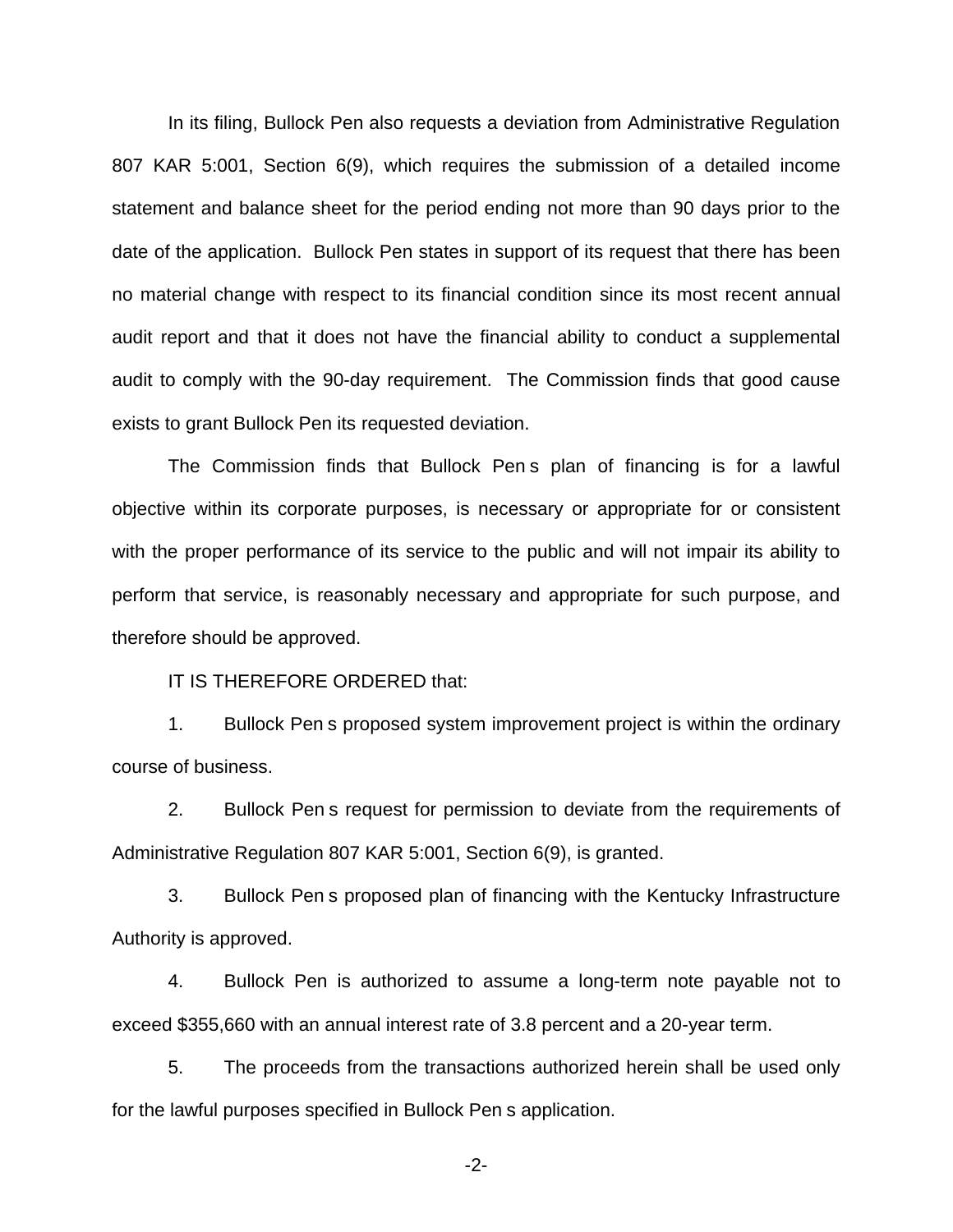In its filing, Bullock Pen also requests a deviation from Administrative Regulation 807 KAR 5:001, Section 6(9), which requires the submission of a detailed income statement and balance sheet for the period ending not more than 90 days prior to the date of the application. Bullock Pen states in support of its request that there has been no material change with respect to its financial condition since its most recent annual audit report and that it does not have the financial ability to conduct a supplemental audit to comply with the 90-day requirement. The Commission finds that good cause exists to grant Bullock Pen its requested deviation.

The Commission finds that Bullock Pen s plan of financing is for a lawful objective within its corporate purposes, is necessary or appropriate for or consistent with the proper performance of its service to the public and will not impair its ability to perform that service, is reasonably necessary and appropriate for such purpose, and therefore should be approved.

IT IS THEREFORE ORDERED that:

1. Bullock Pen s proposed system improvement project is within the ordinary course of business.

2. Bullock Pen s request for permission to deviate from the requirements of Administrative Regulation 807 KAR 5:001, Section 6(9), is granted.

3. Bullock Pen s proposed plan of financing with the Kentucky Infrastructure Authority is approved.

4. Bullock Pen is authorized to assume a long-term note payable not to exceed \$355,660 with an annual interest rate of 3.8 percent and a 20-year term.

5. The proceeds from the transactions authorized herein shall be used only for the lawful purposes specified in Bullock Pen s application.

-2-